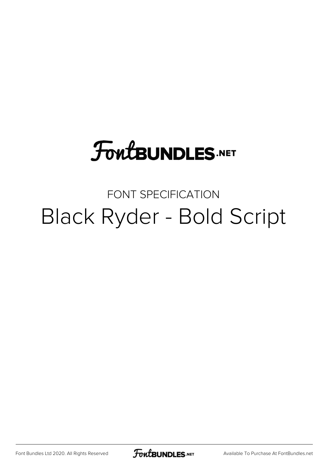## **FoutBUNDLES.NET**

#### FONT SPECIFICATION Black Ryder - Bold Script

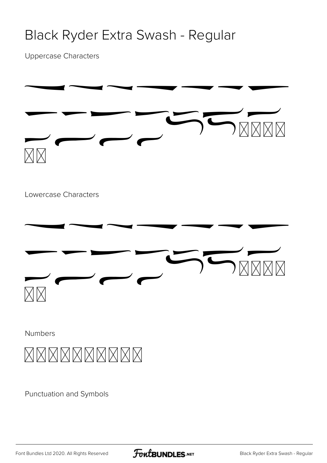#### Black Ryder Extra Swash - Regular

Uppercase Characters



Punctuation and Symbols

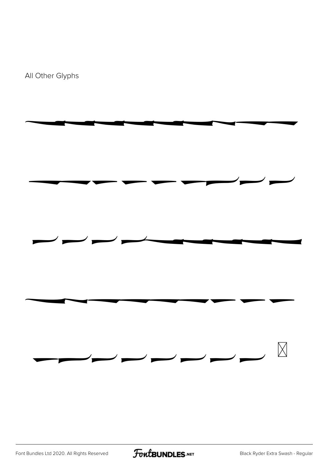



FontBUNDLES.NET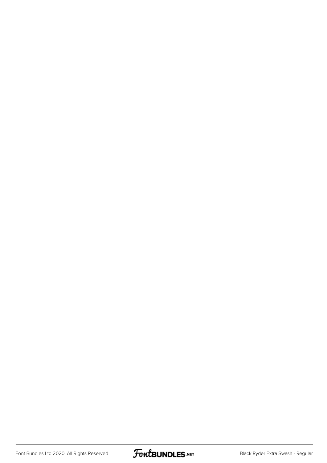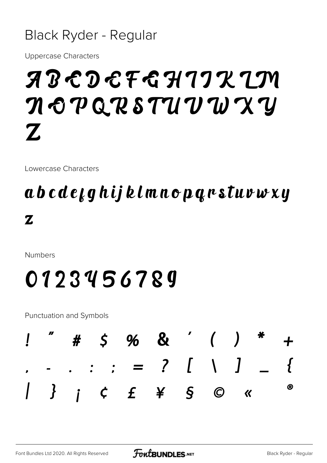#### Black Ryder - Regular

**Uppercase Characters** 

### ABCDEFGHIIKIM NOPQRSTUVWXY Z

Lowercase Characters

### abcde<sub>k</sub>ghijklmnopąrstuvwxy  $\mathbf{Z}$

**Numbers** 

## 0123456789

**Punctuation and Symbols** 

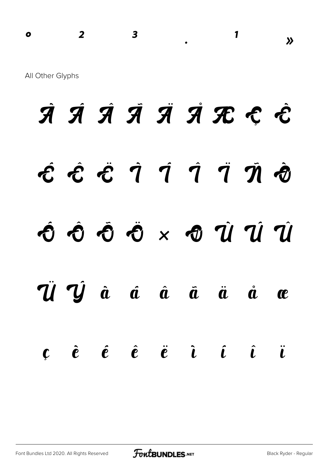All Other Glyphs

# $\hat{A}$   $\hat{A}$   $\hat{B}$   $\hat{B}$   $\hat{B}$   $\hat{C}$   $\hat{C}$  $\hat{\epsilon}$   $\hat{\epsilon}$   $\hat{\tau}$   $\hat{\eta}$   $\hat{\eta}$   $\hat{\sigma}$ Ó Ô Õ Ö × Ø Ù Ú Û Ü Ý à á â ã ä å æ  $c$  è é è ë ì í  $i$  ü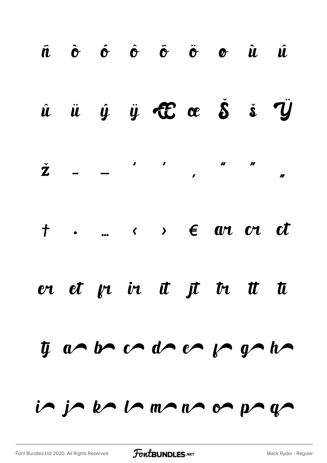|  |  | $\ddot{\mathbf{n}}$ $\dot{\mathbf{o}}$ $\dot{\mathbf{o}}$ $\ddot{\mathbf{o}}$ $\ddot{\mathbf{o}}$ $\ddot{\mathbf{o}}$ $\dot{\mathbf{o}}$ $\dot{\mathbf{u}}$ $\dot{\mathbf{u}}$ |  |  |
|--|--|--------------------------------------------------------------------------------------------------------------------------------------------------------------------------------|--|--|
|  |  | $\hat{u}$ $\ddot{u}$ $\hat{y}$ $\ddot{\alpha}$ $\dot{\alpha}$ $\dot{\delta}$ $\ddot{\delta}$ $\ddot{y}$                                                                        |  |  |
|  |  | $\check{\mathbf{Z}}$ - - $\check{\mathbf{Z}}$ , $\check{\mathbf{Z}}$                                                                                                           |  |  |
|  |  | $t \cdot  \cdot > \epsilon$ and $t$                                                                                                                                            |  |  |
|  |  | er et $\mu$ ir it jt tr tt ti                                                                                                                                                  |  |  |
|  |  | $\bar{y}$ and be and $\alpha$ or $\alpha$ and $\alpha$                                                                                                                         |  |  |
|  |  | $i$ $\sim$ $j$ $\sim$ $k$ $\sim$ $l$ $\sim$ $n$ $\sim$ $n$ $\sim$ $n$ $\sim$ $q$                                                                                               |  |  |